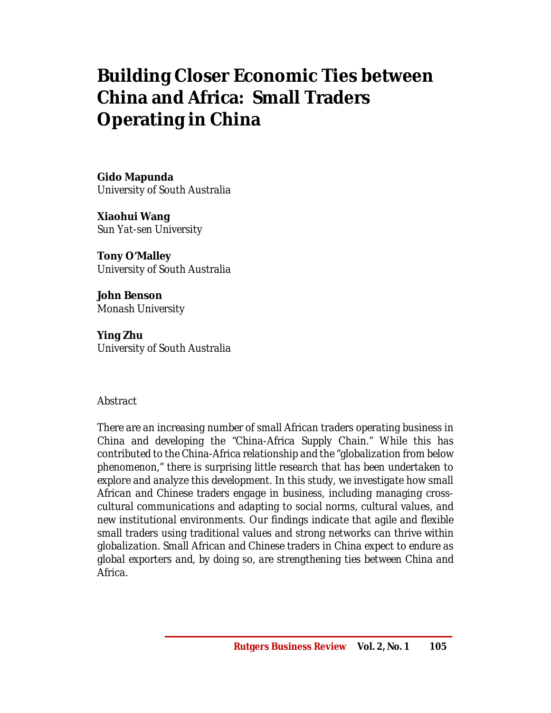# **Building Closer Economic Ties between China and Africa: Small Traders Operating in China**

**Gido Mapunda** *University of South Australia*

**Xiaohui Wang** *Sun Yat-sen University*

**Tony O'Malley** *University of South Australia*

**John Benson** *Monash University*

**Ying Zhu** *University of South Australia*

# *Abstract*

*There are an increasing number of small African traders operating business in China and developing the "China-Africa Supply Chain." While this has contributed to the China-Africa relationship and the "globalization from below phenomenon," there is surprising little research that has been undertaken to explore and analyze this development. In this study, we investigate how small African and Chinese traders engage in business, including managing crosscultural communications and adapting to social norms, cultural values, and new institutional environments. Our findings indicate that agile and flexible small traders using traditional values and strong networks can thrive within globalization. Small African and Chinese traders in China expect to endure as global exporters and, by doing so, are strengthening ties between China and Africa.*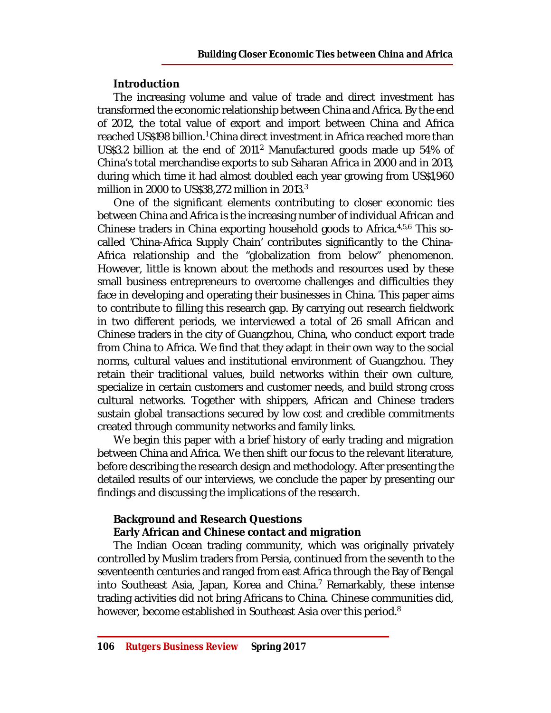# **Introduction**

The increasing volume and value of trade and direct investment has transformed the economic relationship between China and Africa. By the end of 2012, the total value of export and import between China and Africa reached US\$198 billion. <sup>1</sup> China direct investment in Africa reached more than US\$3.2 billion at the end of 2011.<sup>2</sup> Manufactured goods made up 54% of China's total merchandise exports to sub Saharan Africa in 2000 and in 2013, during which time it had almost doubled each year growing from US\$1,960 million in 2000 to US\$38,272 million in 2013. $^3$ 

One of the significant elements contributing to closer economic ties between China and Africa is the increasing number of individual African and Chinese traders in China exporting household goods to Africa.<sup>4,5,6</sup> This socalled 'China-Africa Supply Chain' contributes significantly to the China-Africa relationship and the "globalization from below" phenomenon. However, little is known about the methods and resources used by these small business entrepreneurs to overcome challenges and difficulties they face in developing and operating their businesses in China. This paper aims to contribute to filling this research gap. By carrying out research fieldwork in two different periods, we interviewed a total of 26 small African and Chinese traders in the city of Guangzhou, China, who conduct export trade from China to Africa. We find that they adapt in their own way to the social norms, cultural values and institutional environment of Guangzhou. They retain their traditional values, build networks within their own culture, specialize in certain customers and customer needs, and build strong cross cultural networks. Together with shippers, African and Chinese traders sustain global transactions secured by low cost and credible commitments created through community networks and family links.

We begin this paper with a brief history of early trading and migration between China and Africa. We then shift our focus to the relevant literature, before describing the research design and methodology. After presenting the detailed results of our interviews, we conclude the paper by presenting our findings and discussing the implications of the research.

# **Background and Research Questions**

#### **Early African and Chinese contact and migration**

The Indian Ocean trading community, which was originally privately controlled by Muslim traders from Persia, continued from the seventh to the seventeenth centuries and ranged from east Africa through the Bay of Bengal into Southeast Asia, Japan, Korea and China. <sup>7</sup> Remarkably, these intense trading activities did not bring Africans to China. Chinese communities did, however, become established in Southeast Asia over this period. $^8$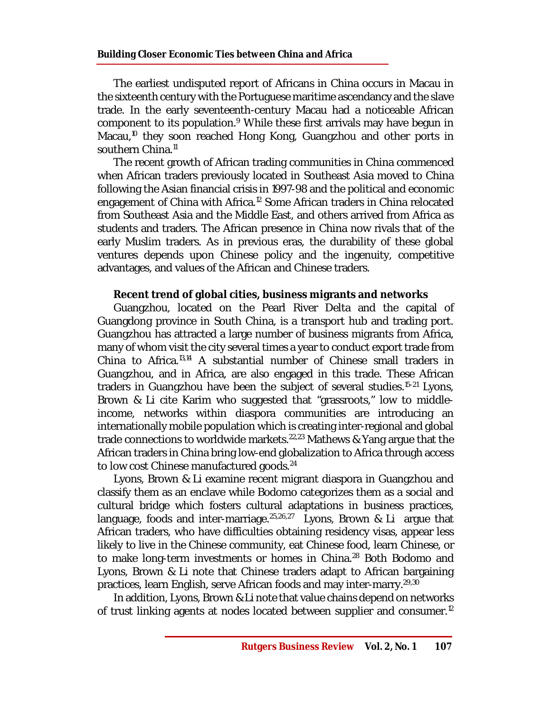The earliest undisputed report of Africans in China occurs in Macau in the sixteenth century with the Portuguese maritime ascendancy and the slave trade. In the early seventeenth-century Macau had a noticeable African component to its population. <sup>9</sup> While these first arrivals may have begun in Macau,<sup>10</sup> they soon reached Hong Kong, Guangzhou and other ports in southern China. 11

The recent growth of African trading communities in China commenced when African traders previously located in Southeast Asia moved to China following the Asian financial crisis in 1997-98 and the political and economic engagement of China with Africa.<sup>12</sup> Some African traders in China relocated from Southeast Asia and the Middle East, and others arrived from Africa as students and traders. The African presence in China now rivals that of the early Muslim traders. As in previous eras, the durability of these global ventures depends upon Chinese policy and the ingenuity, competitive advantages, and values of the African and Chinese traders.

# **Recent trend of global cities, business migrants and networks**

Guangzhou, located on the Pearl River Delta and the capital of Guangdong province in South China, is a transport hub and trading port. Guangzhou has attracted a large number of business migrants from Africa, many of whom visit the city several times a year to conduct export trade from China to Africa.<sup>13,14</sup> A substantial number of Chinese small traders in Guangzhou, and in Africa, are also engaged in this trade. These African traders in Guangzhou have been the subject of several studies. 15-21 Lyons, Brown & Li cite Karim who suggested that "grassroots," low to middleincome, networks within diaspora communities are introducing an internationally mobile population which is creating inter-regional and global trade connections to worldwide markets.<sup>22,23</sup> Mathews & Yang argue that the African traders in China bring low-end globalization to Africa through access to low cost Chinese manufactured goods.<sup>24</sup>

Lyons, Brown & Li examine recent migrant diaspora in Guangzhou and classify them as an enclave while Bodomo categorizes them as a social and cultural bridge which fosters cultural adaptations in business practices, language, foods and inter-marriage. $25,26,27$  Lyons, Brown & Li argue that African traders, who have difficulties obtaining residency visas, appear less likely to live in the Chinese community, eat Chinese food, learn Chinese, or to make long-term investments or homes in China.<sup>28</sup> Both Bodomo and Lyons, Brown & Li note that Chinese traders adapt to African bargaining practices, learn English, serve African foods and may inter-marry.29,30

In addition, Lyons, Brown & Li note that value chains depend on networks of trust linking agents at nodes located between supplier and consumer.<sup>12</sup>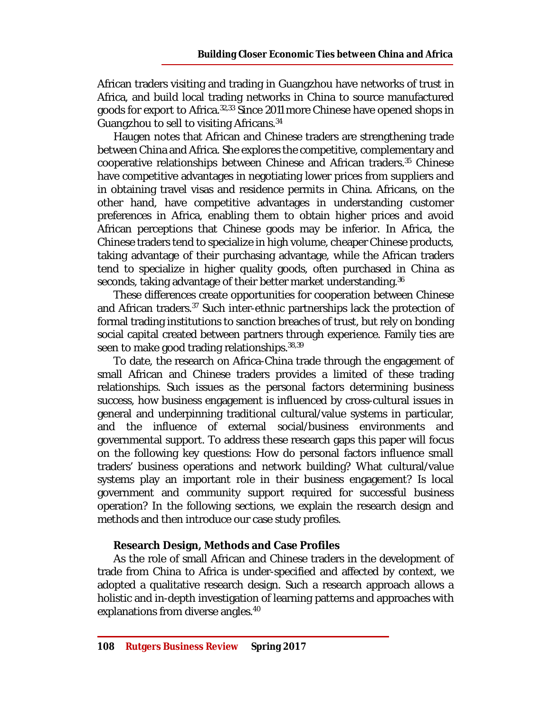African traders visiting and trading in Guangzhou have networks of trust in Africa, and build local trading networks in China to source manufactured goods for export to Africa.<sup>32,33</sup> Since 2011 more Chinese have opened shops in Guangzhou to sell to visiting Africans. 34

Haugen notes that African and Chinese traders are strengthening trade between China and Africa. She explores the competitive, complementary and cooperative relationships between Chinese and African traders.<sup>35</sup> Chinese have competitive advantages in negotiating lower prices from suppliers and in obtaining travel visas and residence permits in China. Africans, on the other hand, have competitive advantages in understanding customer preferences in Africa, enabling them to obtain higher prices and avoid African perceptions that Chinese goods may be inferior. In Africa, the Chinese traders tend to specialize in high volume, cheaper Chinese products, taking advantage of their purchasing advantage, while the African traders tend to specialize in higher quality goods, often purchased in China as seconds, taking advantage of their better market understanding. 36

These differences create opportunities for cooperation between Chinese and African traders. <sup>37</sup> Such inter-ethnic partnerships lack the protection of formal trading institutions to sanction breaches of trust, but rely on bonding social capital created between partners through experience. Family ties are seen to make good trading relationships. 38,39

To date, the research on Africa-China trade through the engagement of small African and Chinese traders provides a limited of these trading relationships. Such issues as the personal factors determining business success, how business engagement is influenced by cross-cultural issues in general and underpinning traditional cultural/value systems in particular, and the influence of external social/business environments and governmental support. To address these research gaps this paper will focus on the following key questions: How do personal factors influence small traders' business operations and network building? What cultural/value systems play an important role in their business engagement? Is local government and community support required for successful business operation? In the following sections, we explain the research design and methods and then introduce our case study profiles.

#### **Research Design, Methods and Case Profiles**

As the role of small African and Chinese traders in the development of trade from China to Africa is under-specified and affected by context, we adopted a qualitative research design. Such a research approach allows a holistic and in-depth investigation of learning patterns and approaches with explanations from diverse angles. 40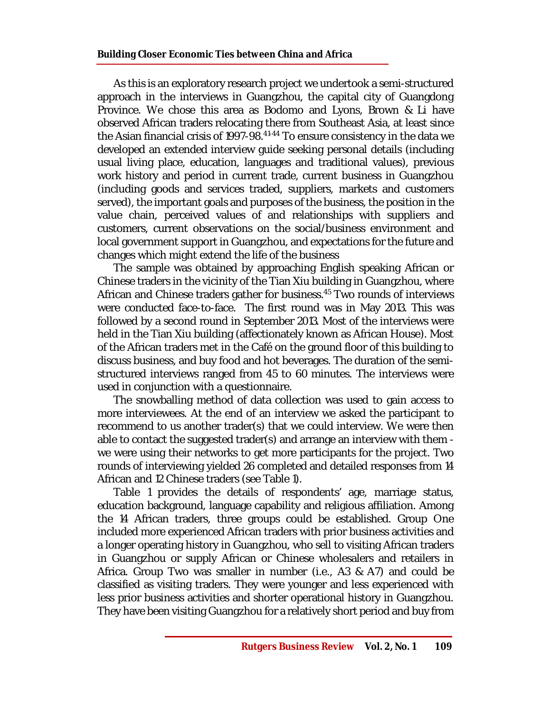As this is an exploratory research project we undertook a semi-structured approach in the interviews in Guangzhou, the capital city of Guangdong Province. We chose this area as Bodomo and Lyons, Brown & Li have observed African traders relocating there from Southeast Asia, at least since the Asian financial crisis of 1997-98.<sup>41-44</sup> To ensure consistency in the data we developed an extended interview guide seeking personal details (including usual living place, education, languages and traditional values), previous work history and period in current trade, current business in Guangzhou (including goods and services traded, suppliers, markets and customers served), the important goals and purposes of the business, the position in the value chain, perceived values of and relationships with suppliers and customers, current observations on the social/business environment and local government support in Guangzhou, and expectations for the future and changes which might extend the life of the business

The sample was obtained by approaching English speaking African or Chinese traders in the vicinity of the Tian Xiu building in Guangzhou, where African and Chinese traders gather for business. <sup>45</sup> Two rounds of interviews were conducted face-to-face. The first round was in May 2013. This was followed by a second round in September 2013. Most of the interviews were held in the Tian Xiu building (affectionately known as African House). Most of the African traders met in the Café on the ground floor of this building to discuss business, and buy food and hot beverages. The duration of the semistructured interviews ranged from 45 to 60 minutes. The interviews were used in conjunction with a questionnaire.

The snowballing method of data collection was used to gain access to more interviewees. At the end of an interview we asked the participant to recommend to us another trader(s) that we could interview. We were then able to contact the suggested trader(s) and arrange an interview with them we were using their networks to get more participants for the project. Two rounds of interviewing yielded 26 completed and detailed responses from 14 African and 12 Chinese traders (see Table 1).

Table 1 provides the details of respondents' age, marriage status, education background, language capability and religious affiliation. Among the 14 African traders, three groups could be established. Group One included more experienced African traders with prior business activities and a longer operating history in Guangzhou, who sell to visiting African traders in Guangzhou or supply African or Chinese wholesalers and retailers in Africa. Group Two was smaller in number (i.e., A3 & A7) and could be classified as visiting traders. They were younger and less experienced with less prior business activities and shorter operational history in Guangzhou. They have been visiting Guangzhou for a relatively short period and buy from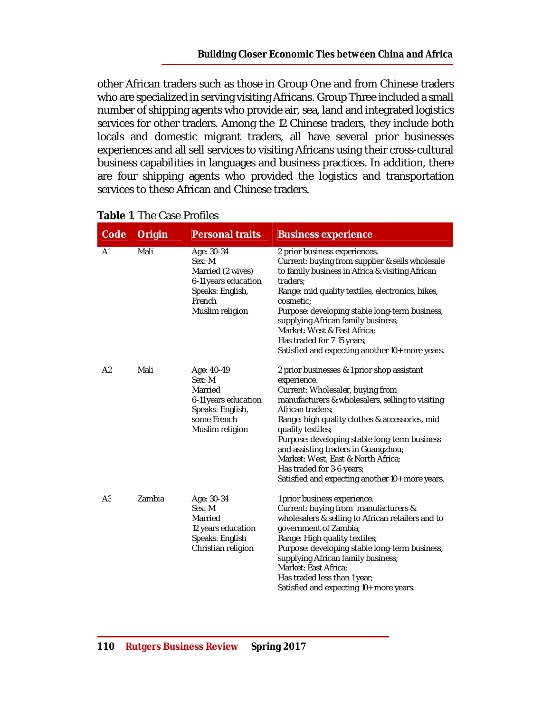other African traders such as those in Group One and from Chinese traders who are specialized in serving visiting Africans. Group Three included a small number of shipping agents who provide air, sea, land and integrated logistics services for other traders. Among the 12 Chinese traders, they include both locals and domestic migrant traders, all have several prior businesses experiences and all sell services to visiting Africans using their cross-cultural business capabilities in languages and business practices. In addition, there are four shipping agents who provided the logistics and transportation services to these African and Chinese traders.

| Code           | Origin | <b>Personal traits</b>                                                                                             | <b>Business experience</b>                                                                                                                                                                                                                                                                                                                                                                                                                                  |
|----------------|--------|--------------------------------------------------------------------------------------------------------------------|-------------------------------------------------------------------------------------------------------------------------------------------------------------------------------------------------------------------------------------------------------------------------------------------------------------------------------------------------------------------------------------------------------------------------------------------------------------|
| A <sub>1</sub> | Mali   | Age: 30-34<br>Sex: M<br>Married (2 wives)<br>6-11 years education<br>Speaks: English,<br>French<br>Muslim religion | 2 prior business experiences.<br>Current: buying from supplier & sells wholesale<br>to family business in Africa & visiting African<br>traders:<br>Range: mid quality textiles, electronics, bikes,<br>cosmetic;<br>Purpose: developing stable long-term business,<br>supplying African family business;<br>Market: West & East Africa:<br>Has traded for 7-15 years;<br>Satisfied and expecting another 10+ more years.                                    |
| A <sub>2</sub> | Mali   | Age: 40-49<br>Sex: M<br>Married<br>6-11 years education<br>Speaks: English,<br>some French<br>Muslim religion      | 2 prior businesses & 1 prior shop assistant<br>experience.<br>Current: Wholesaler, buying from<br>manufacturers & wholesalers, selling to visiting<br>African traders;<br>Range: high quality clothes & accessories, mid<br>quality textiles;<br>Purpose: developing stable long-term business<br>and assisting traders in Guangzhou;<br>Market: West, East & North Africa;<br>Has traded for 3-6 years;<br>Satisfied and expecting another 10+ more years. |
| A <sub>3</sub> | Zambia | Age: 30-34<br>Sex: M<br>Married<br>12 years education<br>Speaks: English<br>Christian religion                     | 1 prior business experience.<br>Current: buying from manufacturers &<br>wholesalers & selling to African retailers and to<br>government of Zambia;<br>Range: High quality textiles;<br>Purpose: developing stable long-term business,<br>supplying African family business;<br>Market: East Africa;<br>Has traded less than 1 year;<br>Satisfied and expecting 10+ more years.                                                                              |

# **Table 1**. The Case Profiles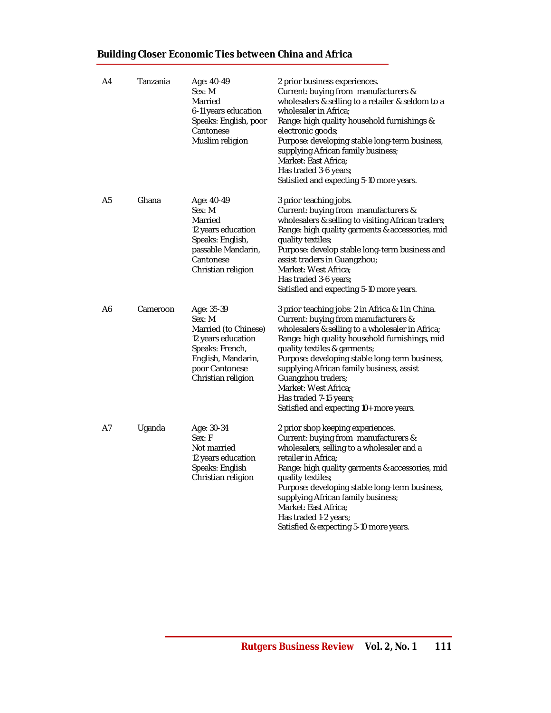| A4 | Tanzania | Age: 40-49<br>Sex: M<br>Married<br>6-11 years education<br>Speaks: English, poor<br>Cantonese<br>Muslim religion                                    | 2 prior business experiences.<br>Current: buying from manufacturers &<br>wholesalers & selling to a retailer & seldom to a<br>wholesaler in Africa;<br>Range: high quality household furnishings &<br>electronic goods;<br>Purpose: developing stable long-term business,<br>supplying African family business;<br>Market: East Africa;<br>Has traded 3-6 years;<br>Satisfied and expecting 5-10 more years.                                     |
|----|----------|-----------------------------------------------------------------------------------------------------------------------------------------------------|--------------------------------------------------------------------------------------------------------------------------------------------------------------------------------------------------------------------------------------------------------------------------------------------------------------------------------------------------------------------------------------------------------------------------------------------------|
| A5 | Ghana    | Age: 40-49<br>Sex: M<br>Married<br>12 years education<br>Speaks: English,<br>passable Mandarin,<br>Cantonese<br>Christian religion                  | 3 prior teaching jobs.<br>Current: buying from manufacturers &<br>wholesalers & selling to visiting African traders;<br>Range: high quality garments & accessories, mid<br>quality textiles;<br>Purpose: develop stable long-term business and<br>assist traders in Guangzhou;<br>Market: West Africa;<br>Has traded 3-6 years;<br>Satisfied and expecting 5-10 more years.                                                                      |
| Α6 | Cameroon | Age: 35-39<br>Sex: M<br>Married (to Chinese)<br>12 years education<br>Speaks: French,<br>English, Mandarin,<br>poor Cantonese<br>Christian religion | 3 prior teaching jobs: 2 in Africa & 1 in China.<br>Current: buying from manufacturers &<br>wholesalers & selling to a wholesaler in Africa;<br>Range: high quality household furnishings, mid<br>quality textiles & garments;<br>Purpose: developing stable long-term business,<br>supplying African family business, assist<br>Guangzhou traders;<br>Market: West Africa;<br>Has traded 7-15 years;<br>Satisfied and expecting 10+ more years. |
| A7 | Uganda   | Age: 30-34<br>Sex: F<br>Not married<br>12 years education<br>Speaks: English<br>Christian religion                                                  | 2 prior shop keeping experiences.<br>Current: buying from manufacturers &<br>wholesalers, selling to a wholesaler and a<br>retailer in Africa;<br>Range: high quality garments & accessories, mid<br>quality textiles;<br>Purpose: developing stable long-term business,<br>supplying African family business;<br>Market: East Africa;<br>Has traded 1-2 years;<br>Satisfied & expecting 5-10 more years.                                        |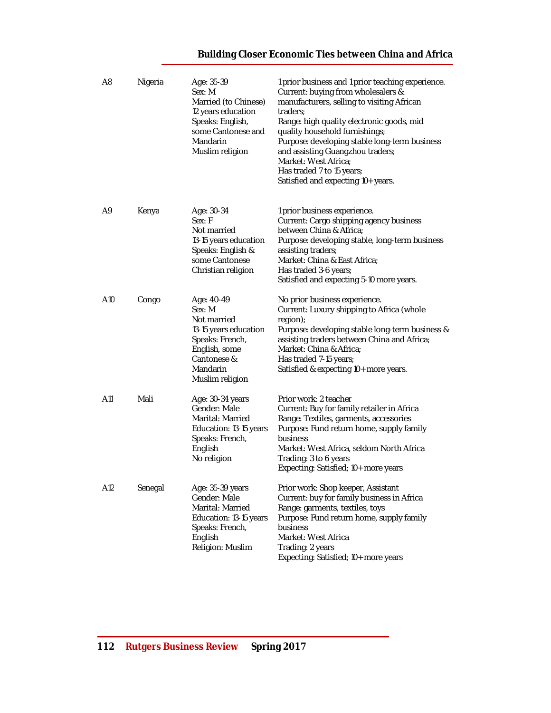| A <sub>8</sub> | Nigeria | Age: 35-39<br>Sex: M<br>Married (to Chinese)<br>12 years education<br>Speaks: English,<br>some Cantonese and<br>Mandarin<br>Muslim religion    | 1 prior business and 1 prior teaching experience.<br>Current: buying from wholesalers &<br>manufacturers, selling to visiting African<br>traders;<br>Range: high quality electronic goods, mid<br>quality household furnishings;<br>Purpose: developing stable long-term business<br>and assisting Guangzhou traders;<br>Market: West Africa;<br>Has traded 7 to 15 years;<br>Satisfied and expecting 10+ years. |
|----------------|---------|------------------------------------------------------------------------------------------------------------------------------------------------|------------------------------------------------------------------------------------------------------------------------------------------------------------------------------------------------------------------------------------------------------------------------------------------------------------------------------------------------------------------------------------------------------------------|
| A9             | Kenya   | Age: 30-34<br>Sex: F<br>Not married<br>13-15 years education<br>Speaks: English &<br>some Cantonese<br>Christian religion                      | 1 prior business experience.<br>Current: Cargo shipping agency business<br>between China & Africa;<br>Purpose: developing stable, long-term business<br>assisting traders;<br>Market: China & East Africa;<br>Has traded 3-6 years;<br>Satisfied and expecting 5-10 more years.                                                                                                                                  |
| A10            | Congo   | Age: 40-49<br>Sex: M<br>Not married<br>13-15 years education<br>Speaks: French,<br>English, some<br>Cantonese &<br>Mandarin<br>Muslim religion | No prior business experience.<br>Current: Luxury shipping to Africa (whole<br>region);<br>Purpose: developing stable long-term business &<br>assisting traders between China and Africa;<br>Market: China & Africa;<br>Has traded 7-15 years;<br>Satisfied & expecting 10+ more years.                                                                                                                           |
| A11            | Mali    | Age: 30-34 years<br>Gender: Male<br>Marital: Married<br>Education: 13-15 years<br>Speaks: French,<br>English<br>No religion                    | Prior work: 2 teacher<br>Current: Buy for family retailer in Africa<br>Range: Textiles, garments, accessories<br>Purpose: Fund return home, supply family<br>business<br>Market: West Africa, seldom North Africa<br>Trading: 3 to 6 years<br>Expecting: Satisfied; 10+ more years                                                                                                                               |
| A12            | Senegal | Age: 35-39 years<br>Gender: Male<br>Marital: Married<br>Education: 13-15 years<br>Speaks: French,<br>English<br>Religion: Muslim               | Prior work: Shop keeper, Assistant<br>Current: buy for family business in Africa<br>Range: garments, textiles, toys<br>Purpose: Fund return home, supply family<br>business<br>Market: West Africa<br>Trading: 2 years<br>Expecting: Satisfied; 10+ more years                                                                                                                                                   |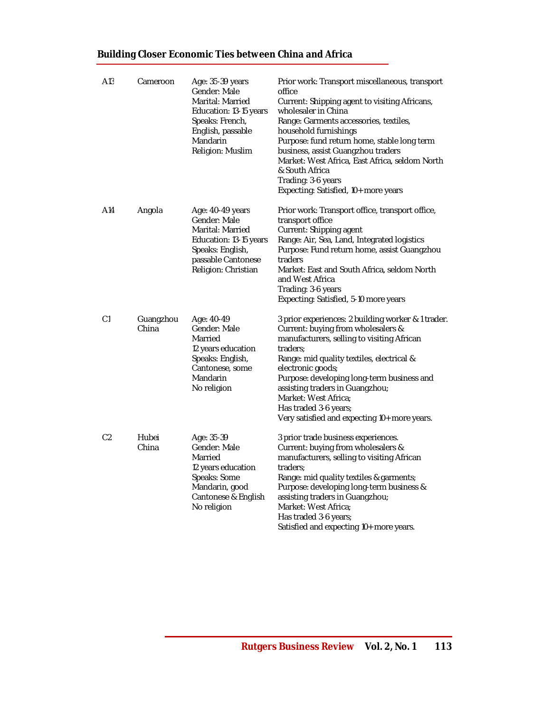| A13            | Cameroon           | Age: 35-39 years<br>Gender: Male<br>Marital: Married<br>Education: 13-15 years<br>Speaks: French,<br>English, passable<br>Mandarin<br>Religion: Muslim | Prior work: Transport miscellaneous, transport<br>office<br>Current: Shipping agent to visiting Africans,<br>wholesaler in China<br>Range: Garments accessories, textiles,<br>household furnishings<br>Purpose: fund return home, stable long term<br>business, assist Guangzhou traders<br>Market: West Africa, East Africa, seldom North<br>& South Africa<br>Trading: 3-6 years<br>Expecting: Satisfied, 10+ more years |
|----------------|--------------------|--------------------------------------------------------------------------------------------------------------------------------------------------------|----------------------------------------------------------------------------------------------------------------------------------------------------------------------------------------------------------------------------------------------------------------------------------------------------------------------------------------------------------------------------------------------------------------------------|
| A14            | Angola             | Age: 40-49 years<br>Gender: Male<br>Marital: Married<br>Education: 13-15 years<br>Speaks: English,<br>passable Cantonese<br>Religion: Christian        | Prior work: Transport office, transport office,<br>transport office<br>Current: Shipping agent<br>Range: Air, Sea, Land, Integrated logistics<br>Purpose: Fund return home, assist Guangzhou<br>traders<br>Market: East and South Africa, seldom North<br>and West Africa<br>Trading: 3-6 years<br>Expecting: Satisfied, 5-10 more years                                                                                   |
| C <sub>1</sub> | Guangzhou<br>China | Age: 40-49<br>Gender: Male<br>Married<br>12 years education<br>Speaks: English,<br>Cantonese, some<br>Mandarin<br>No religion                          | 3 prior experiences: 2 building worker & 1 trader.<br>Current: buying from wholesalers &<br>manufacturers, selling to visiting African<br>traders;<br>Range: mid quality textiles, electrical &<br>electronic goods;<br>Purpose: developing long-term business and<br>assisting traders in Guangzhou;<br>Market: West Africa;<br>Has traded 3-6 years;<br>Very satisfied and expecting 10+ more years.                     |
| C <sub>2</sub> | Hubei<br>China     | Age: 35-39<br>Gender: Male<br>Married<br>12 years education<br>Speaks: Some<br>Mandarin, good<br>Cantonese & English<br>No religion                    | 3 prior trade business experiences.<br>Current: buying from wholesalers &<br>manufacturers, selling to visiting African<br>traders:<br>Range: mid quality textiles & garments;<br>Purpose: developing long-term business &<br>assisting traders in Guangzhou;<br>Market: West Africa;<br>Has traded 3-6 years;<br>Satisfied and expecting 10+ more years.                                                                  |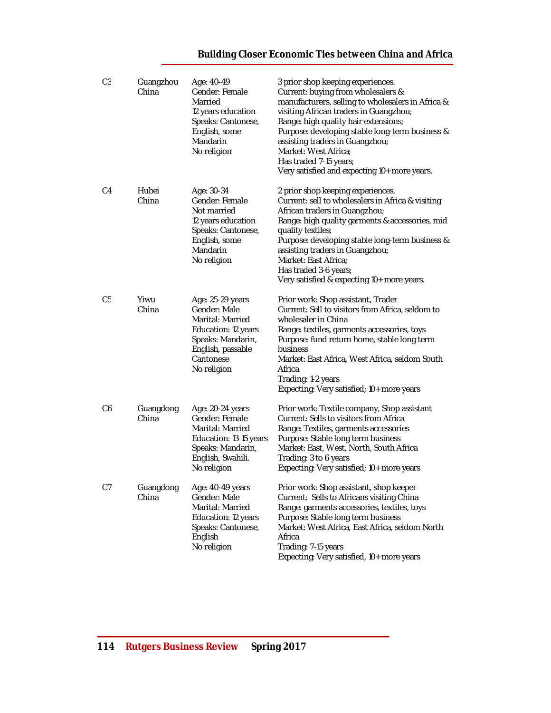| C <sub>3</sub> | Guangzhou<br>China | Age: 40-49<br>Gender: Female<br>Married<br>12 years education<br>Speaks: Cantonese,<br>English, some<br>Mandarin<br>No religion                   | 3 prior shop keeping experiences.<br>Current: buying from wholesalers &<br>manufacturers, selling to wholesalers in Africa &<br>visiting African traders in Guangzhou;<br>Range: high quality hair extensions;<br>Purpose: developing stable long-term business &<br>assisting traders in Guangzhou;<br>Market: West Africa;<br>Has traded 7-15 years;<br>Very satisfied and expecting 10+ more years. |
|----------------|--------------------|---------------------------------------------------------------------------------------------------------------------------------------------------|--------------------------------------------------------------------------------------------------------------------------------------------------------------------------------------------------------------------------------------------------------------------------------------------------------------------------------------------------------------------------------------------------------|
| C4             | Hubei<br>China     | Age: 30-34<br>Gender: Female<br>Not married<br>12 years education<br>Speaks: Cantonese,<br>English, some<br>Mandarin<br>No religion               | 2 prior shop keeping experiences.<br>Current: sell to wholesalers in Africa & visiting<br>African traders in Guangzhou;<br>Range: high quality garments & accessories, mid<br>quality textiles;<br>Purpose: developing stable long-term business &<br>assisting traders in Guangzhou;<br>Market: East Africa;<br>Has traded 3-6 years;<br>Very satisfied & expecting 10+ more years.                   |
| C <sub>5</sub> | Yiwu<br>China      | Age: 25-29 years<br>Gender: Male<br>Marital: Married<br>Education: 12 years<br>Speaks: Mandarin,<br>English, passable<br>Cantonese<br>No religion | Prior work: Shop assistant, Trader<br>Current: Sell to visitors from Africa, seldom to<br>wholesaler in China<br>Range: textiles, garments accessories, toys<br>Purpose: fund return home, stable long term<br>business<br>Market: East Africa, West Africa, seldom South<br>Africa<br>Trading: 1-2 years<br>Expecting: Very satisfied; 10+ more years                                                 |
| C6             | Guangdong<br>China | Age: 20-24 years<br>Gender: Female<br>Marital: Married<br>Education: 13-15 years<br>Speaks: Mandarin,<br>English, Swahili.<br>No religion         | Prior work: Textile company, Shop assistant<br>Current: Sells to visitors from Africa<br>Range: Textiles, garments accessories<br>Purpose: Stable long term business<br>Market: East, West, North, South Africa<br>Trading: 3 to 6 years<br>Expecting: Very satisfied; 10+ more years                                                                                                                  |
| C7             | Guangdong<br>China | Age: 40-49 years<br>Gender: Male<br>Marital: Married<br>Education: 12 years<br>Speaks: Cantonese,<br>English<br>No religion                       | Prior work: Shop assistant, shop keeper<br>Current: Sells to Africans visiting China<br>Range: garments accessories, textiles, toys<br>Purpose: Stable long term business<br>Market: West Africa, East Africa, seldom North<br>Africa<br>Trading: 7-15 years<br>Expecting: Very satisfied, 10+ more years                                                                                              |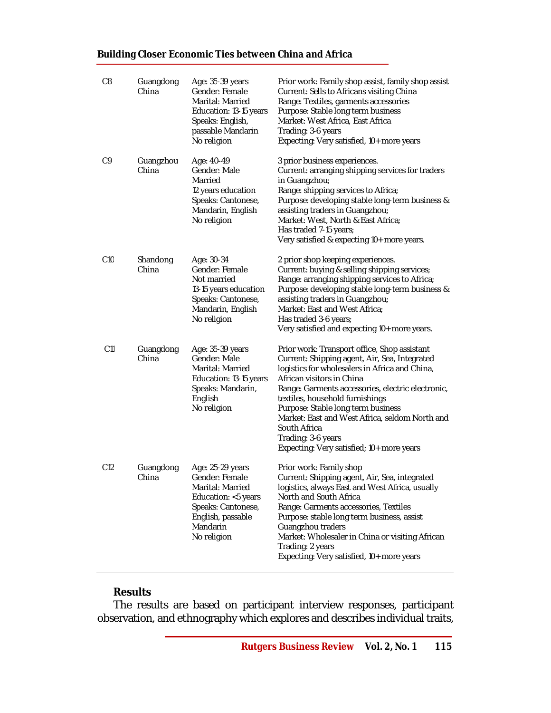| C <sub>8</sub>  | Guangdong<br>China | Age: 35-39 years<br>Gender: Female<br>Marital: Married<br>Education: 13-15 years<br>Speaks: English,<br>passable Mandarin<br>No religion            | Prior work: Family shop assist, family shop assist<br>Current: Sells to Africans visiting China<br>Range: Textiles, garments accessories<br>Purpose: Stable long term business<br>Market: West Africa, East Africa<br>Trading: 3-6 years<br>Expecting: Very satisfied, 10+ more years                                                                                                                                                           |
|-----------------|--------------------|-----------------------------------------------------------------------------------------------------------------------------------------------------|-------------------------------------------------------------------------------------------------------------------------------------------------------------------------------------------------------------------------------------------------------------------------------------------------------------------------------------------------------------------------------------------------------------------------------------------------|
| C <sub>9</sub>  | Guangzhou<br>China | Age: 40-49<br>Gender: Male<br>Married<br>12 years education<br>Speaks: Cantonese,<br>Mandarin, English<br>No religion                               | 3 prior business experiences.<br>Current: arranging shipping services for traders<br>in Guangzhou;<br>Range: shipping services to Africa;<br>Purpose: developing stable long-term business &<br>assisting traders in Guangzhou;<br>Market: West, North & East Africa;<br>Has traded 7-15 years;<br>Very satisfied & expecting 10+ more years.                                                                                                   |
| C10             | Shandong<br>China  | Age: 30-34<br>Gender: Female<br>Not married<br>13-15 years education<br>Speaks: Cantonese,<br>Mandarin, English<br>No religion                      | 2 prior shop keeping experiences.<br>Current: buying & selling shipping services;<br>Range: arranging shipping services to Africa;<br>Purpose: developing stable long-term business &<br>assisting traders in Guangzhou;<br>Market: East and West Africa;<br>Has traded 3-6 years;<br>Very satisfied and expecting 10+ more years.                                                                                                              |
| C11             | Guangdong<br>China | Age: 35-39 years<br>Gender: Male<br>Marital: Married<br>Education: 13-15 years<br>Speaks: Mandarin,<br>English<br>No religion                       | Prior work: Transport office, Shop assistant<br>Current: Shipping agent, Air, Sea, Integrated<br>logistics for wholesalers in Africa and China,<br>African visitors in China<br>Range: Garments accessories, electric electronic,<br>textiles, household furnishings<br>Purpose: Stable long term business<br>Market: East and West Africa, seldom North and<br>South Africa<br>Trading: 3-6 years<br>Expecting: Very satisfied; 10+ more years |
| C <sub>12</sub> | Guangdong<br>China | Age: 25-29 years<br>Gender: Female<br>Marital: Married<br>Education: <5 years<br>Speaks: Cantonese,<br>English, passable<br>Mandarin<br>No religion | Prior work: Family shop<br>Current: Shipping agent, Air, Sea, integrated<br>logistics, always East and West Africa, usually<br>North and South Africa<br>Range: Garments accessories, Textiles<br>Purpose: stable long term business, assist<br>Guangzhou traders<br>Market: Wholesaler in China or visiting African<br>Trading: 2 years<br>Expecting: Very satisfied, 10+ more years                                                           |

# **Results**

The results are based on participant interview responses, participant observation, and ethnography which explores and describes individual traits,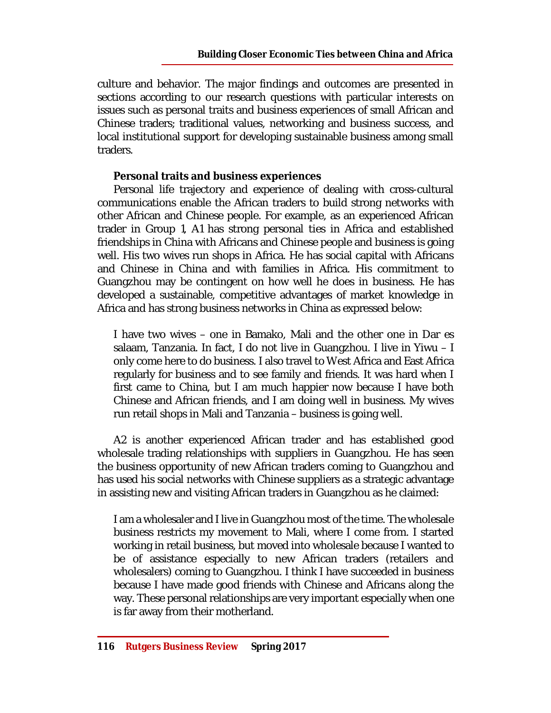culture and behavior. The major findings and outcomes are presented in sections according to our research questions with particular interests on issues such as personal traits and business experiences of small African and Chinese traders; traditional values, networking and business success, and local institutional support for developing sustainable business among small traders.

# **Personal traits and business experiences**

Personal life trajectory and experience of dealing with cross-cultural communications enable the African traders to build strong networks with other African and Chinese people. For example, as an experienced African trader in Group 1, A1 has strong personal ties in Africa and established friendships in China with Africans and Chinese people and business is going well. His two wives run shops in Africa. He has social capital with Africans and Chinese in China and with families in Africa. His commitment to Guangzhou may be contingent on how well he does in business. He has developed a sustainable, competitive advantages of market knowledge in Africa and has strong business networks in China as expressed below:

I have two wives – one in Bamako, Mali and the other one in Dar es salaam, Tanzania. In fact, I do not live in Guangzhou. I live in Yiwu – I only come here to do business. I also travel to West Africa and East Africa regularly for business and to see family and friends. It was hard when I first came to China, but I am much happier now because I have both Chinese and African friends, and I am doing well in business. My wives run retail shops in Mali and Tanzania – business is going well.

A2 is another experienced African trader and has established good wholesale trading relationships with suppliers in Guangzhou. He has seen the business opportunity of new African traders coming to Guangzhou and has used his social networks with Chinese suppliers as a strategic advantage in assisting new and visiting African traders in Guangzhou as he claimed:

I am a wholesaler and I live in Guangzhou most of the time. The wholesale business restricts my movement to Mali, where I come from. I started working in retail business, but moved into wholesale because I wanted to be of assistance especially to new African traders (retailers and wholesalers) coming to Guangzhou. I think I have succeeded in business because I have made good friends with Chinese and Africans along the way. These personal relationships are very important especially when one is far away from their motherland.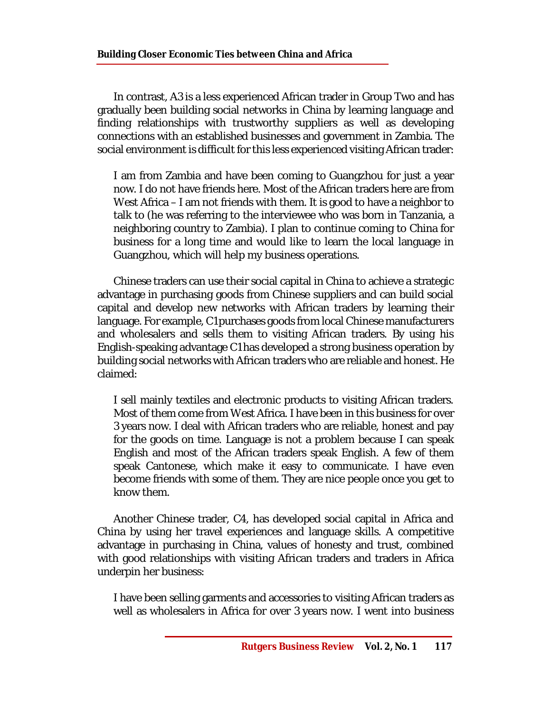In contrast, A3 is a less experienced African trader in Group Two and has gradually been building social networks in China by learning language and finding relationships with trustworthy suppliers as well as developing connections with an established businesses and government in Zambia. The social environment is difficult for this less experienced visiting African trader:

I am from Zambia and have been coming to Guangzhou for just a year now. I do not have friends here. Most of the African traders here are from West Africa – I am not friends with them. It is good to have a neighbor to talk to (he was referring to the interviewee who was born in Tanzania, a neighboring country to Zambia). I plan to continue coming to China for business for a long time and would like to learn the local language in Guangzhou, which will help my business operations.

Chinese traders can use their social capital in China to achieve a strategic advantage in purchasing goods from Chinese suppliers and can build social capital and develop new networks with African traders by learning their language. For example, C1 purchases goods from local Chinese manufacturers and wholesalers and sells them to visiting African traders. By using his English-speaking advantage C1 has developed a strong business operation by building social networks with African traders who are reliable and honest. He claimed:

I sell mainly textiles and electronic products to visiting African traders. Most of them come from West Africa. I have been in this business for over 3 years now. I deal with African traders who are reliable, honest and pay for the goods on time. Language is not a problem because I can speak English and most of the African traders speak English. A few of them speak Cantonese, which make it easy to communicate. I have even become friends with some of them. They are nice people once you get to know them.

Another Chinese trader, C4, has developed social capital in Africa and China by using her travel experiences and language skills. A competitive advantage in purchasing in China, values of honesty and trust, combined with good relationships with visiting African traders and traders in Africa underpin her business:

I have been selling garments and accessories to visiting African traders as well as wholesalers in Africa for over 3 years now. I went into business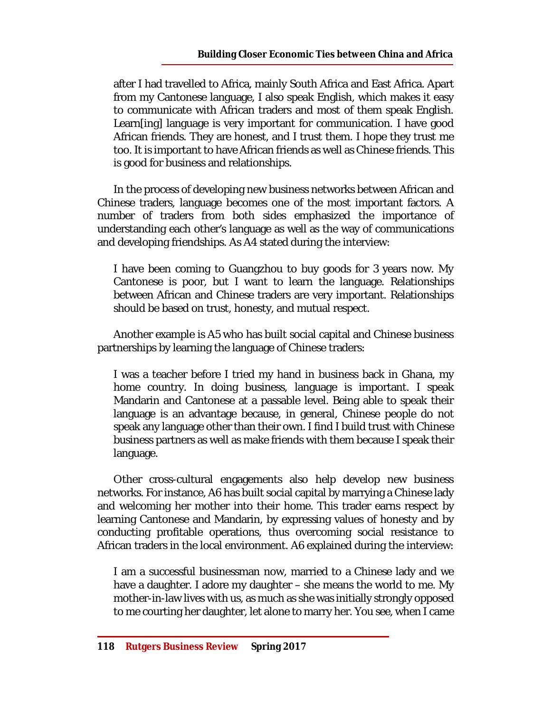after I had travelled to Africa, mainly South Africa and East Africa. Apart from my Cantonese language, I also speak English, which makes it easy to communicate with African traders and most of them speak English. Learn[ing] language is very important for communication. I have good African friends. They are honest, and I trust them. I hope they trust me too. It is important to have African friends as well as Chinese friends. This is good for business and relationships.

In the process of developing new business networks between African and Chinese traders, language becomes one of the most important factors. A number of traders from both sides emphasized the importance of understanding each other's language as well as the way of communications and developing friendships. As A4 stated during the interview:

I have been coming to Guangzhou to buy goods for 3 years now. My Cantonese is poor, but I want to learn the language. Relationships between African and Chinese traders are very important. Relationships should be based on trust, honesty, and mutual respect.

Another example is A5 who has built social capital and Chinese business partnerships by learning the language of Chinese traders:

I was a teacher before I tried my hand in business back in Ghana, my home country. In doing business, language is important. I speak Mandarin and Cantonese at a passable level. Being able to speak their language is an advantage because, in general, Chinese people do not speak any language other than their own. I find I build trust with Chinese business partners as well as make friends with them because I speak their language.

Other cross-cultural engagements also help develop new business networks. For instance, A6 has built social capital by marrying a Chinese lady and welcoming her mother into their home. This trader earns respect by learning Cantonese and Mandarin, by expressing values of honesty and by conducting profitable operations, thus overcoming social resistance to African traders in the local environment. A6 explained during the interview:

I am a successful businessman now, married to a Chinese lady and we have a daughter. I adore my daughter – she means the world to me. My mother-in-law lives with us, as much as she was initially strongly opposed to me courting her daughter, let alone to marry her. You see, when I came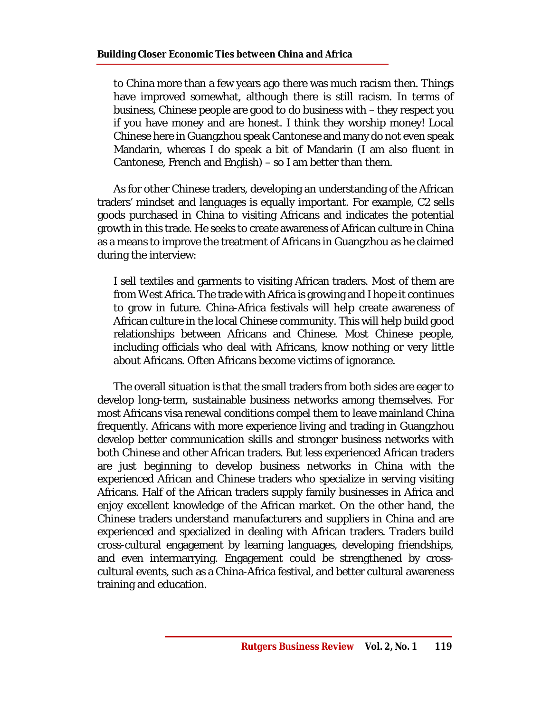to China more than a few years ago there was much racism then. Things have improved somewhat, although there is still racism. In terms of business, Chinese people are good to do business with – they respect you if you have money and are honest. I think they worship money! Local Chinese here in Guangzhou speak Cantonese and many do not even speak Mandarin, whereas I do speak a bit of Mandarin (I am also fluent in Cantonese, French and English) – so I am better than them.

As for other Chinese traders, developing an understanding of the African traders' mindset and languages is equally important. For example, C2 sells goods purchased in China to visiting Africans and indicates the potential growth in this trade. He seeks to create awareness of African culture in China as a means to improve the treatment of Africans in Guangzhou as he claimed during the interview:

I sell textiles and garments to visiting African traders. Most of them are from West Africa. The trade with Africa is growing and I hope it continues to grow in future. China-Africa festivals will help create awareness of African culture in the local Chinese community. This will help build good relationships between Africans and Chinese. Most Chinese people, including officials who deal with Africans, know nothing or very little about Africans. Often Africans become victims of ignorance.

The overall situation is that the small traders from both sides are eager to develop long-term, sustainable business networks among themselves. For most Africans visa renewal conditions compel them to leave mainland China frequently. Africans with more experience living and trading in Guangzhou develop better communication skills and stronger business networks with both Chinese and other African traders. But less experienced African traders are just beginning to develop business networks in China with the experienced African and Chinese traders who specialize in serving visiting Africans. Half of the African traders supply family businesses in Africa and enjoy excellent knowledge of the African market. On the other hand, the Chinese traders understand manufacturers and suppliers in China and are experienced and specialized in dealing with African traders. Traders build cross-cultural engagement by learning languages, developing friendships, and even intermarrying. Engagement could be strengthened by crosscultural events, such as a China-Africa festival, and better cultural awareness training and education.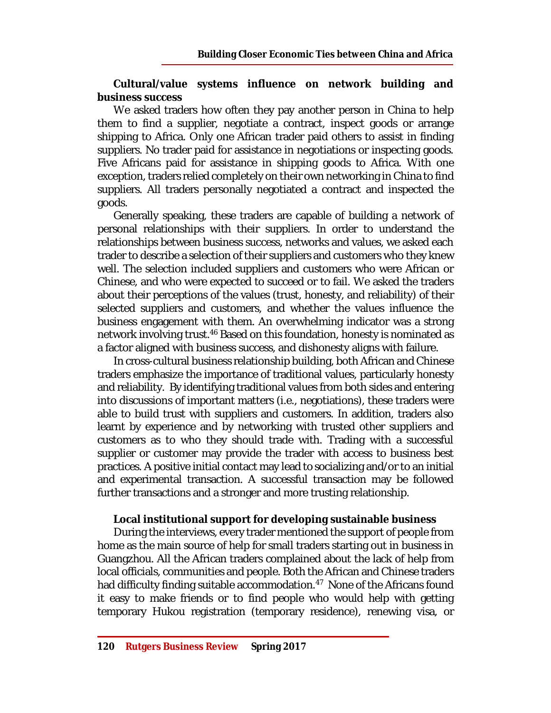### **Cultural/value systems influence on network building and business success**

We asked traders how often they pay another person in China to help them to find a supplier, negotiate a contract, inspect goods or arrange shipping to Africa. Only one African trader paid others to assist in finding suppliers. No trader paid for assistance in negotiations or inspecting goods. Five Africans paid for assistance in shipping goods to Africa. With one exception, traders relied completely on their own networking in China to find suppliers. All traders personally negotiated a contract and inspected the goods.

Generally speaking, these traders are capable of building a network of personal relationships with their suppliers. In order to understand the relationships between business success, networks and values, we asked each trader to describe a selection of their suppliers and customers who they knew well. The selection included suppliers and customers who were African or Chinese, and who were expected to succeed or to fail. We asked the traders about their perceptions of the values (trust, honesty, and reliability) of their selected suppliers and customers, and whether the values influence the business engagement with them. An overwhelming indicator was a strong network involving trust. <sup>46</sup> Based on this foundation, honesty is nominated as a factor aligned with business success, and dishonesty aligns with failure.

In cross-cultural business relationship building, both African and Chinese traders emphasize the importance of traditional values, particularly honesty and reliability. By identifying traditional values from both sides and entering into discussions of important matters (i.e., negotiations), these traders were able to build trust with suppliers and customers. In addition, traders also learnt by experience and by networking with trusted other suppliers and customers as to who they should trade with. Trading with a successful supplier or customer may provide the trader with access to business best practices. A positive initial contact may lead to socializing and/or to an initial and experimental transaction. A successful transaction may be followed further transactions and a stronger and more trusting relationship.

#### **Local institutional support for developing sustainable business**

During the interviews, every trader mentioned the support of people from home as the main source of help for small traders starting out in business in Guangzhou. All the African traders complained about the lack of help from local officials, communities and people. Both the African and Chinese traders had difficulty finding suitable accommodation. <sup>47</sup> None of the Africans found it easy to make friends or to find people who would help with getting temporary Hukou registration (temporary residence), renewing visa, or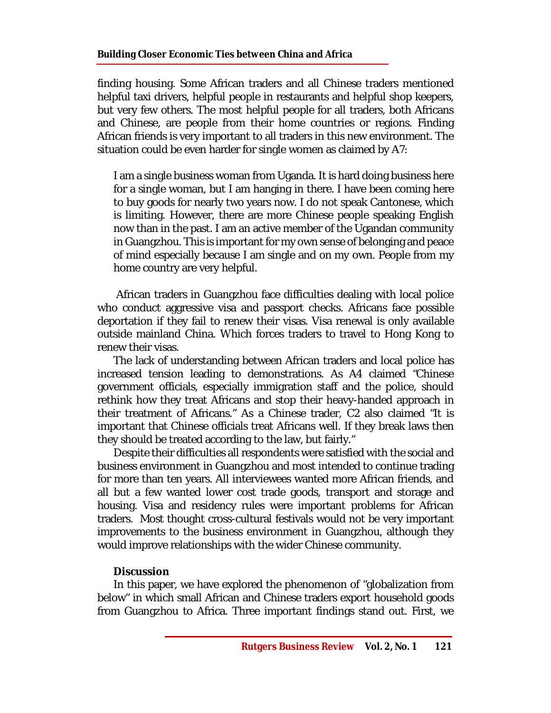finding housing. Some African traders and all Chinese traders mentioned helpful taxi drivers, helpful people in restaurants and helpful shop keepers, but very few others. The most helpful people for all traders, both Africans and Chinese, are people from their home countries or regions. Finding African friends is very important to all traders in this new environment. The situation could be even harder for single women as claimed by A7:

I am a single business woman from Uganda. It is hard doing business here for a single woman, but I am hanging in there. I have been coming here to buy goods for nearly two years now. I do not speak Cantonese, which is limiting. However, there are more Chinese people speaking English now than in the past. I am an active member of the Ugandan community in Guangzhou. This is important for my own sense of belonging and peace of mind especially because I am single and on my own. People from my home country are very helpful.

African traders in Guangzhou face difficulties dealing with local police who conduct aggressive visa and passport checks. Africans face possible deportation if they fail to renew their visas. Visa renewal is only available outside mainland China. Which forces traders to travel to Hong Kong to renew their visas.

The lack of understanding between African traders and local police has increased tension leading to demonstrations. As A4 claimed "Chinese government officials, especially immigration staff and the police, should rethink how they treat Africans and stop their heavy-handed approach in their treatment of Africans." As a Chinese trader, C2 also claimed "It is important that Chinese officials treat Africans well. If they break laws then they should be treated according to the law, but fairly."

Despite their difficulties all respondents were satisfied with the social and business environment in Guangzhou and most intended to continue trading for more than ten years. All interviewees wanted more African friends, and all but a few wanted lower cost trade goods, transport and storage and housing. Visa and residency rules were important problems for African traders. Most thought cross-cultural festivals would not be very important improvements to the business environment in Guangzhou, although they would improve relationships with the wider Chinese community.

# **Discussion**

In this paper, we have explored the phenomenon of "globalization from below" in which small African and Chinese traders export household goods from Guangzhou to Africa. Three important findings stand out. First, we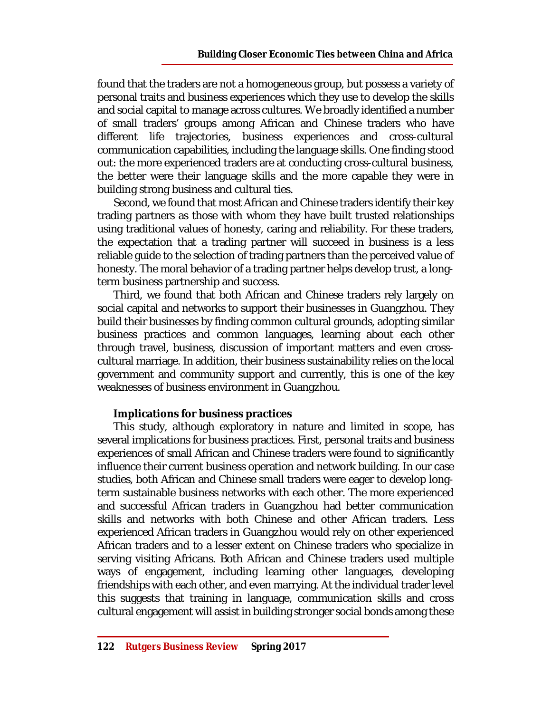found that the traders are not a homogeneous group, but possess a variety of personal traits and business experiences which they use to develop the skills and social capital to manage across cultures. We broadly identified a number of small traders' groups among African and Chinese traders who have different life trajectories, business experiences and cross-cultural communication capabilities, including the language skills. One finding stood out: the more experienced traders are at conducting cross-cultural business, the better were their language skills and the more capable they were in building strong business and cultural ties.

Second, we found that most African and Chinese traders identify their key trading partners as those with whom they have built trusted relationships using traditional values of honesty, caring and reliability. For these traders, the expectation that a trading partner will succeed in business is a less reliable guide to the selection of trading partners than the perceived value of honesty. The moral behavior of a trading partner helps develop trust, a longterm business partnership and success.

Third, we found that both African and Chinese traders rely largely on social capital and networks to support their businesses in Guangzhou. They build their businesses by finding common cultural grounds, adopting similar business practices and common languages, learning about each other through travel, business, discussion of important matters and even crosscultural marriage. In addition, their business sustainability relies on the local government and community support and currently, this is one of the key weaknesses of business environment in Guangzhou.

# **Implications for business practices**

This study, although exploratory in nature and limited in scope, has several implications for business practices. First, personal traits and business experiences of small African and Chinese traders were found to significantly influence their current business operation and network building. In our case studies, both African and Chinese small traders were eager to develop longterm sustainable business networks with each other. The more experienced and successful African traders in Guangzhou had better communication skills and networks with both Chinese and other African traders. Less experienced African traders in Guangzhou would rely on other experienced African traders and to a lesser extent on Chinese traders who specialize in serving visiting Africans. Both African and Chinese traders used multiple ways of engagement, including learning other languages, developing friendships with each other, and even marrying. At the individual trader level this suggests that training in language, communication skills and cross cultural engagement will assist in building stronger social bonds among these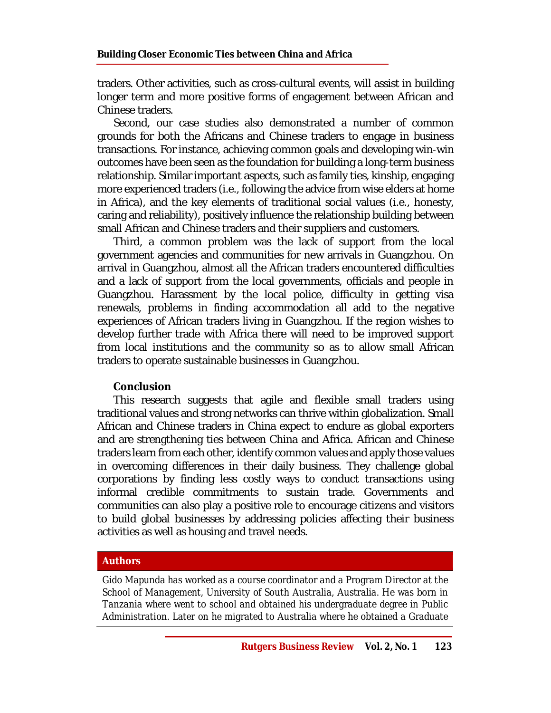traders. Other activities, such as cross-cultural events, will assist in building longer term and more positive forms of engagement between African and Chinese traders.

Second, our case studies also demonstrated a number of common grounds for both the Africans and Chinese traders to engage in business transactions. For instance, achieving common goals and developing win-win outcomes have been seen as the foundation for building a long-term business relationship. Similar important aspects, such as family ties, kinship, engaging more experienced traders (i.e., following the advice from wise elders at home in Africa), and the key elements of traditional social values (i.e., honesty, caring and reliability), positively influence the relationship building between small African and Chinese traders and their suppliers and customers.

Third, a common problem was the lack of support from the local government agencies and communities for new arrivals in Guangzhou. On arrival in Guangzhou, almost all the African traders encountered difficulties and a lack of support from the local governments, officials and people in Guangzhou. Harassment by the local police, difficulty in getting visa renewals, problems in finding accommodation all add to the negative experiences of African traders living in Guangzhou. If the region wishes to develop further trade with Africa there will need to be improved support from local institutions and the community so as to allow small African traders to operate sustainable businesses in Guangzhou.

#### **Conclusion**

This research suggests that agile and flexible small traders using traditional values and strong networks can thrive within globalization. Small African and Chinese traders in China expect to endure as global exporters and are strengthening ties between China and Africa. African and Chinese traders learn from each other, identify common values and apply those values in overcoming differences in their daily business. They challenge global corporations by finding less costly ways to conduct transactions using informal credible commitments to sustain trade. Governments and communities can also play a positive role to encourage citizens and visitors to build global businesses by addressing policies affecting their business activities as well as housing and travel needs.

#### **Authors**

*Gido Mapunda has worked as a course coordinator and a Program Director at the School of Management, University of South Australia, Australia. He was born in Tanzania where went to school and obtained his undergraduate degree in Public Administration. Later on he migrated to Australia where he obtained a Graduate*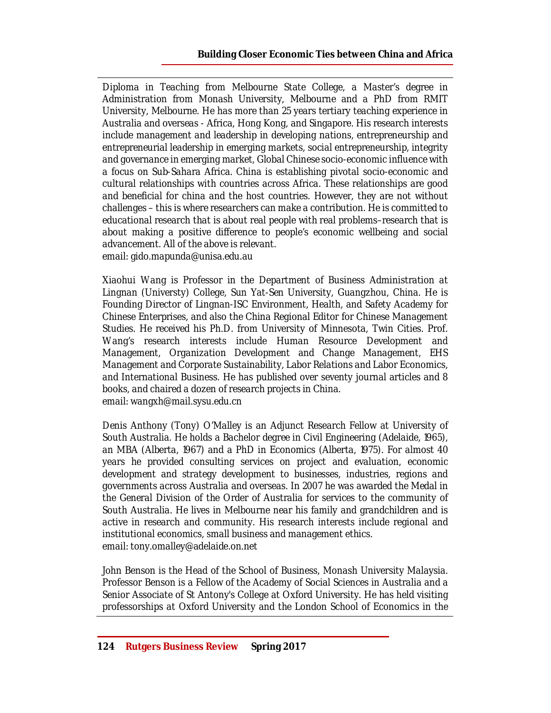*Diploma in Teaching from Melbourne State College, a Master's degree in Administration from Monash University, Melbourne and a PhD from RMIT University, Melbourne. He has more than 25 years tertiary teaching experience in Australia and overseas - Africa, Hong Kong, and Singapore. His research interests include management and leadership in developing nations, entrepreneurship and entrepreneurial leadership in emerging markets, social entrepreneurship, integrity and governance in emerging market, Global Chinese socio-economic influence with a focus on Sub-Sahara Africa. China is establishing pivotal socio-economic and cultural relationships with countries across Africa. These relationships are good and beneficial for china and the host countries. However, they are not without challenges – this is where researchers can make a contribution. He is committed to educational research that is about real people with real problems–research that is about making a positive difference to people's economic wellbeing and social advancement. All of the above is relevant. email: [gido.mapunda@unisa.edu.au](mailto:gido.mapunda@unisa.edu.au)*

*Xiaohui Wang is Professor in the Department of Business Administration at Lingnan (Universty) College, Sun Yat-Sen University, Guangzhou, China. He is Founding Director of Lingnan-ISC Environment, Health, and Safety Academy for Chinese Enterprises, and also the China Regional Editor for Chinese Management Studies. He received his Ph.D. from University of Minnesota, Twin Cities. Prof. Wang's research interests include Human Resource Development and Management, Organization Development and Change Management, EHS Management and Corporate Sustainability, Labor Relations and Labor Economics, and International Business. He has published over seventy journal articles and 8 books, and chaired a dozen of research projects in China. email: [wangxh@mail.sysu.edu.cn](mailto:wangxh@mail.sysu.edu.cn)*

*Denis Anthony (Tony) O'Malley is an Adjunct Research Fellow at University of South Australia. He holds a Bachelor degree in Civil Engineering (Adelaide, 1965), an MBA (Alberta, 1967) and a PhD in Economics (Alberta, 1975). For almost 40 years he provided consulting services on project and evaluation, economic development and strategy development to businesses, industries, regions and governments across Australia and overseas. In 2007 he was awarded the Medal in the General Division of the Order of Australia for services to the community of South Australia. He lives in Melbourne near his family and grandchildren and is active in research and community. His research interests include regional and institutional economics, small business and management ethics. email: [tony.omalley@adelaide.on.net](mailto:tony.omalley@adelaide.on.net)*

*John Benson is the Head of the School of Business, Monash University Malaysia. Professor Benson is a Fellow of the Academy of Social Sciences in Australia and a Senior Associate of St Antony's College at Oxford University. He has held visiting professorships at Oxford University and the London School of Economics in the*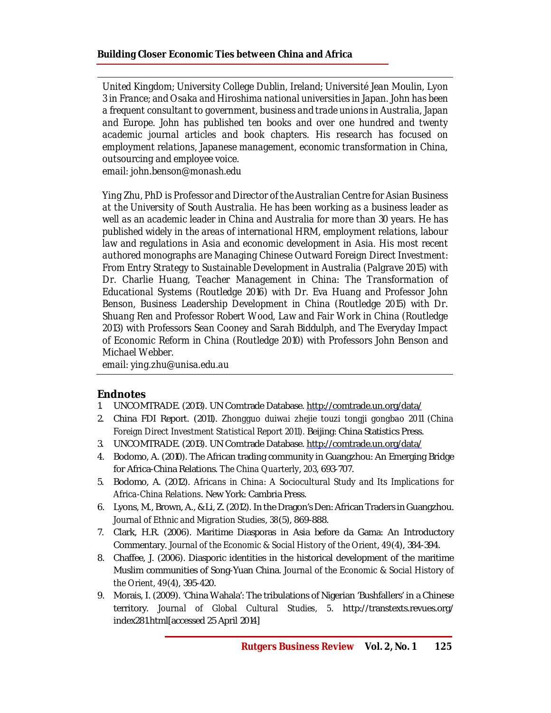*United Kingdom; University College Dublin, Ireland; Université Jean Moulin, Lyon 3 in France; and Osaka and Hiroshima national universities in Japan. John has been a frequent consultant to government, business and trade unions in Australia, Japan and Europe. John has published ten books and over one hundred and twenty academic journal articles and book chapters. His research has focused on employment relations, Japanese management, economic transformation in China, outsourcing and employee voice.*

*email: [john.benson@monash.edu](mailto:john.benson@monash.edu)* 

*Ying Zhu, PhD is Professor and Director of the Australian Centre for Asian Business at the University of South Australia. He has been working as a business leader as well as an academic leader in China and Australia for more than 30 years. He has published widely in the areas of international HRM, employment relations, labour*  law and regulations in Asia and economic development in Asia. His most recent *authored monographs are Managing Chinese Outward Foreign Direct Investment: From Entry Strategy to Sustainable Development in Australia (Palgrave 2015) with Dr. Charlie Huang, Teacher Management in China: The Transformation of Educational Systems (Routledge 2016) with Dr. Eva Huang and Professor John Benson, Business Leadership Development in China (Routledge 2015) with Dr. Shuang Ren and Professor Robert Wood, Law and Fair Work in China (Routledge 2013) with Professors Sean Cooney and Sarah Biddulph, and The Everyday Impact of Economic Reform in China (Routledge 2010) with Professors John Benson and Michael Webber.*

*email: [ying.zhu@unisa.edu.au](mailto:ying.zhu@unisa.edu.au)*

#### **Endnotes**

- 1. UNCOMTRADE. (2013). UN Comtrade Database. <http://comtrade.un.org/data/>
- 2. China FDI Report. (2011). *Zhongguo duiwai zhejie touzi tongji gongbao 2011 (China Foreign Direct Investment Statistical Report 2011).* Beijing: China Statistics Press.
- 3. UNCOMTRADE. (2013). UN Comtrade Database. <http://comtrade.un.org/data/>
- 4. Bodomo, A. (2010). The African trading community in Guangzhou: An Emerging Bridge for Africa-China Relations. *The China Quarterly*, *203*, 693-707.
- 5. Bodomo, A. (2012). *Africans in China: A Sociocultural Study and Its Implications for Africa-China Relations*. New York: Cambria Press.
- 6. Lyons, M., Brown, A., & Li, Z. (2012). In the Dragon's Den: African Traders in Guangzhou. *Journal of Ethnic and Migration Studies, 38*(5), 869-888.
- 7. Clark, H.R. (2006). Maritime Diasporas in Asia before da Gama: An Introductory Commentary. *Journal of the Economic & Social History of the Orient*, *49*(4), 384-394.
- 8. Chaffee, J. (2006). Diasporic identities in the historical development of the maritime Muslim communities of Song-Yuan China. *Journal of the Economic & Social History of the Orient, 49*(4), 395-420.
- 9. Morais, I. (2009). 'China Wahala': The tribulations of Nigerian 'Bushfallers' in a Chinese territory. *Journal of Global Cultural Studies, 5*. <http://transtexts.revues.org/> index281.html[accessed 25 April 2014]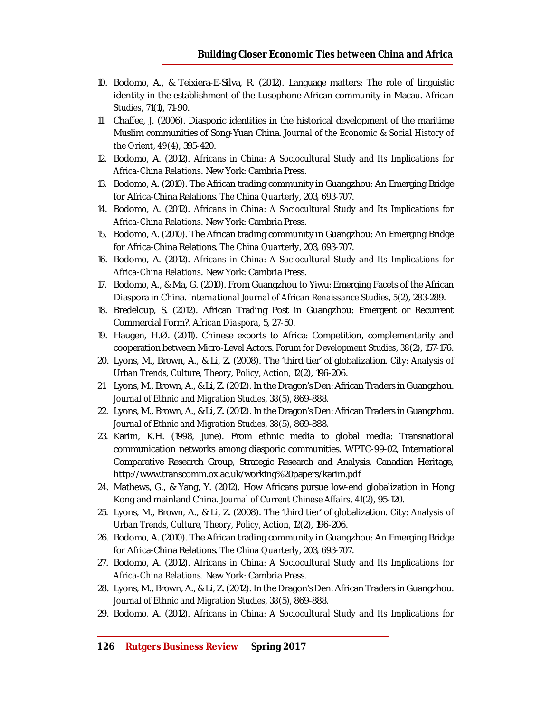- 10. Bodomo, A., & Teixiera-E-Silva, R. (2012). Language matters: The role of linguistic identity in the establishment of the Lusophone African community in Macau. *African Studies, 71*(1), 71-90.
- 11. Chaffee, J. (2006). Diasporic identities in the historical development of the maritime Muslim communities of Song-Yuan China. *Journal of the Economic & Social History of the Orient, 49*(4), 395-420.
- 12. Bodomo, A. (2012). *Africans in China: A Sociocultural Study and Its Implications for Africa-China Relations*. New York: Cambria Press.
- 13. Bodomo, A. (2010). The African trading community in Guangzhou: An Emerging Bridge for Africa-China Relations. *The China Quarterly*, 203, 693-707.
- 14. Bodomo, A. (2012). *Africans in China: A Sociocultural Study and Its Implications for Africa-China Relations*. New York: Cambria Press.
- 15. Bodomo, A. (2010). The African trading community in Guangzhou: An Emerging Bridge for Africa-China Relations. *The China Quarterly*, 203, 693-707.
- 16. Bodomo, A. (2012). *Africans in China: A Sociocultural Study and Its Implications for Africa-China Relations*. New York: Cambria Press.
- 17. Bodomo, A., & Ma, G. (2010). From Guangzhou to Yiwu: Emerging Facets of the African Diaspora in China. *International Journal of African Renaissance Studies, 5*(2), 283-289.
- 18. Bredeloup, S. (2012). African Trading Post in Guangzhou: Emergent or Recurrent Commercial Form?. *African Diaspora,* 5, 27-50.
- 19. Haugen, H.Ø. (2011). Chinese exports to Africa: Competition, complementarity and cooperation between Micro-Level Actors. *Forum for Development Studies, 38*(2), 157-176.
- 20. Lyons, M., Brown, A., & Li, Z. (2008). The 'third tier' of globalization. *City: Analysis of Urban Trends, Culture, Theory, Policy, Action, 12*(2), 196-206.
- 21. Lyons, M., Brown, A., & Li, Z. (2012). In the Dragon's Den: African Traders in Guangzhou. *Journal of Ethnic and Migration Studies, 38*(5), 869-888.
- 22. Lyons, M., Brown, A., & Li, Z. (2012). In the Dragon's Den: African Traders in Guangzhou. *Journal of Ethnic and Migration Studies, 38*(5), 869-888.
- 23. Karim, K.H. (1998, June). From ethnic media to global media: Transnational communication networks among diasporic communities. WPTC-99-02, International Comparative Research Group, Strategic Research and Analysis, Canadian Heritage, <http://www.transcomm.ox.ac.uk/working%20papers/karim.pdf>
- 24. Mathews, G., & Yang, Y. (2012). How Africans pursue low-end globalization in Hong Kong and mainland China. *Journal of Current Chinese Affairs, 41*(2), 95-120.
- 25. Lyons, M., Brown, A., & Li, Z. (2008). The 'third tier' of globalization. *City: Analysis of Urban Trends, Culture, Theory, Policy, Action, 12*(2), 196-206.
- 26. Bodomo, A. (2010). The African trading community in Guangzhou: An Emerging Bridge for Africa-China Relations. *The China Quarterly*, 203, 693-707.
- 27. Bodomo, A. (2012). *Africans in China: A Sociocultural Study and Its Implications for Africa-China Relations*. New York: Cambria Press.
- 28. Lyons, M., Brown, A., & Li, Z. (2012). In the Dragon's Den: African Traders in Guangzhou. *Journal of Ethnic and Migration Studies, 38*(5), 869-888.
- 29. Bodomo, A. (2012). *Africans in China: A Sociocultural Study and Its Implications for*